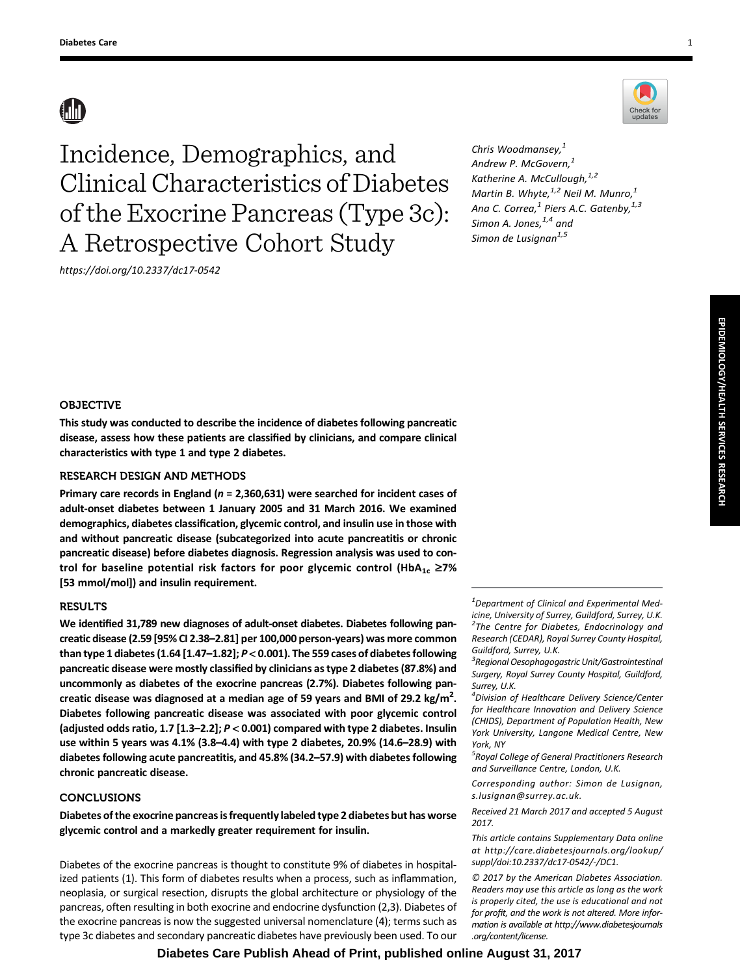# **AN**

Incidence, Demographics, and Clinical Characteristics of Diabetes of the Exocrine Pancreas (Type 3c): A Retrospective Cohort Study

<https://doi.org/10.2337/dc17-0542>

Chris Woodmansey, $1$ Andrew P. McGovern,<sup>1</sup> Katherine A. McCullough, 1,2 Martin B. Whyte, $1,2$  Neil M. Munro, $1$ Ana C. Correa, $^1$  Piers A.C. Gatenby, $^{1,3}$ Simon A. Jones, $1,4$  and Simon de Lusignan $1,5$ 

# OBJECTIVE

This study was conducted to describe the incidence of diabetes following pancreatic disease, assess how these patients are classified by clinicians, and compare clinical characteristics with type 1 and type 2 diabetes.

# RESEARCH DESIGN AND METHODS

Primary care records in England ( $n = 2,360,631$ ) were searched for incident cases of adult-onset diabetes between 1 January 2005 and 31 March 2016. We examined demographics, diabetes classification, glycemic control, and insulin use in those with and without pancreatic disease (subcategorized into acute pancreatitis or chronic pancreatic disease) before diabetes diagnosis. Regression analysis was used to control for baseline potential risk factors for poor glycemic control (HbA<sub>1c</sub>  $\geq$ 7% [53 mmol/mol]) and insulin requirement.

### RESULTS

We identified 31,789 new diagnoses of adult-onset diabetes. Diabetes following pancreatic disease (2.59 [95% CI 2.38–2.81] per 100,000 person-years) was more common than type 1 diabetes (1.64 [1.47–1.82]; P < 0.001). The 559 cases of diabetes following pancreatic disease were mostly classified by clinicians as type 2 diabetes (87.8%) and uncommonly as diabetes of the exocrine pancreas (2.7%). Diabetes following pancreatic disease was diagnosed at a median age of 59 years and BMI of 29.2 kg/m<sup>2</sup>. Diabetes following pancreatic disease was associated with poor glycemic control (adjusted odds ratio, 1.7 [1.3–2.2]; P < 0.001) compared with type 2 diabetes. Insulin use within 5 years was 4.1% (3.8–4.4) with type 2 diabetes, 20.9% (14.6–28.9) with diabetes following acute pancreatitis, and 45.8% (34.2–57.9) with diabetes following chronic pancreatic disease.

## CONCLUSIONS

Diabetes of the exocrine pancreas is frequently labeled type 2 diabetes but has worse glycemic control and a markedly greater requirement for insulin.

Diabetes of the exocrine pancreas is thought to constitute 9% of diabetes in hospitalized patients (1). This form of diabetes results when a process, such as inflammation, neoplasia, or surgical resection, disrupts the global architecture or physiology of the pancreas, often resulting in both exocrine and endocrine dysfunction (2,3). Diabetes of the exocrine pancreas is now the suggested universal nomenclature (4); terms such as type 3c diabetes and secondary pancreatic diabetes have previously been used. To our

 $1$ Department of Clinical and Experimental Medicine, University of Surrey, Guildford, Surrey, U.K. <sup>2</sup>The Centre for Diabetes, Endocrinology and Research (CEDAR), Royal Surrey County Hospital, Guildford, Surrey, U.K.

<sup>5</sup> Royal College of General Practitioners Research and Surveillance Centre, London, U.K.

Corresponding author: Simon de Lusignan, [s.lusignan@surrey.ac.uk](mailto:s.lusignan@surrey.ac.uk).

Received 21 March 2017 and accepted 5 August 2017.

This article contains Supplementary Data online at [http://care.diabetesjournals.org/lookup/](http://care.diabetesjournals.org/lookup/suppl/doi:10.2337/dc17-0542/-/DC1) [suppl/doi:10.2337/dc17-0542/-/DC1.](http://care.diabetesjournals.org/lookup/suppl/doi:10.2337/dc17-0542/-/DC1)

© 2017 by the American Diabetes Association. Readers may use this article as long as the work is properly cited, the use is educational and not for profit, and the work is not altered. More information is available at [http://www.diabetesjournals](http://www.diabetesjournals.org/content/license) [.org/content/license](http://www.diabetesjournals.org/content/license).





<sup>&</sup>lt;sup>3</sup> Regional Oesophagogastric Unit/Gastrointestinal Surgery, Royal Surrey County Hospital, Guildford, Surrey, U.K.

<sup>4</sup> Division of Healthcare Delivery Science/Center for Healthcare Innovation and Delivery Science (CHIDS), Department of Population Health, New York University, Langone Medical Centre, New York, NY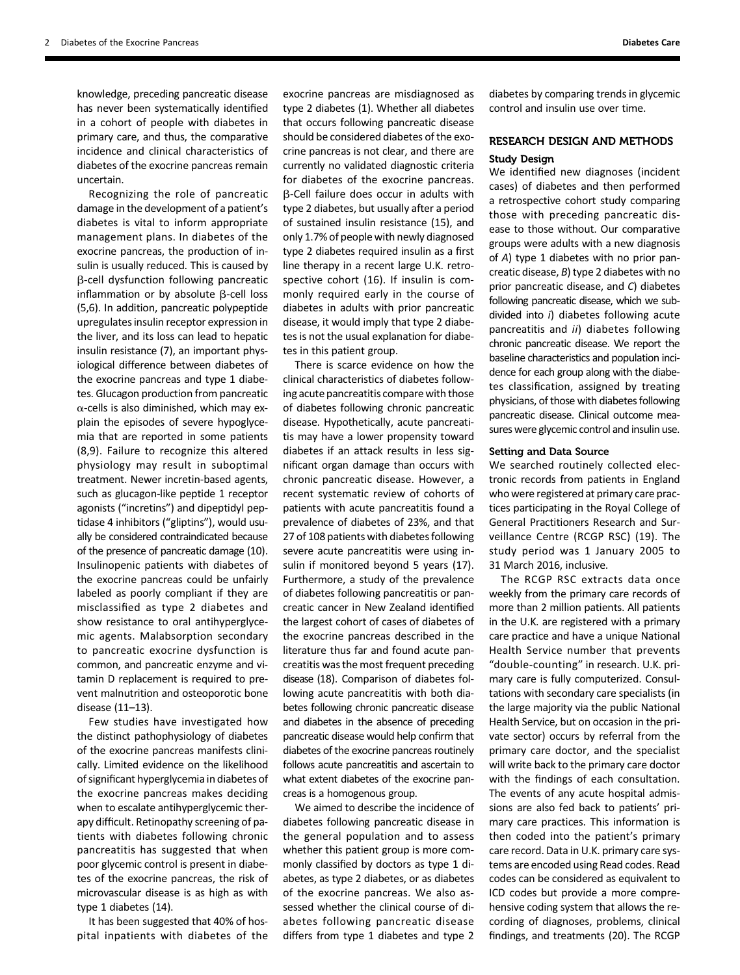knowledge, preceding pancreatic disease has never been systematically identified in a cohort of people with diabetes in primary care, and thus, the comparative incidence and clinical characteristics of diabetes of the exocrine pancreas remain uncertain.

Recognizing the role of pancreatic damage in the development of a patient's diabetes is vital to inform appropriate management plans. In diabetes of the exocrine pancreas, the production of insulin is usually reduced. This is caused by b-cell dysfunction following pancreatic inflammation or by absolute  $\beta$ -cell loss (5,6). In addition, pancreatic polypeptide upregulates insulin receptor expression in the liver, and its loss can lead to hepatic insulin resistance (7), an important physiological difference between diabetes of the exocrine pancreas and type 1 diabetes. Glucagon production from pancreatic  $\alpha$ -cells is also diminished, which may explain the episodes of severe hypoglycemia that are reported in some patients (8,9). Failure to recognize this altered physiology may result in suboptimal treatment. Newer incretin-based agents, such as glucagon-like peptide 1 receptor agonists ("incretins") and dipeptidyl peptidase 4 inhibitors ("gliptins"), would usually be considered contraindicated because of the presence of pancreatic damage (10). Insulinopenic patients with diabetes of the exocrine pancreas could be unfairly labeled as poorly compliant if they are misclassified as type 2 diabetes and show resistance to oral antihyperglycemic agents. Malabsorption secondary to pancreatic exocrine dysfunction is common, and pancreatic enzyme and vitamin D replacement is required to prevent malnutrition and osteoporotic bone disease (11–13).

Few studies have investigated how the distinct pathophysiology of diabetes of the exocrine pancreas manifests clinically. Limited evidence on the likelihood of significant hyperglycemia in diabetes of the exocrine pancreas makes deciding when to escalate antihyperglycemic therapy difficult. Retinopathy screening of patients with diabetes following chronic pancreatitis has suggested that when poor glycemic control is present in diabetes of the exocrine pancreas, the risk of microvascular disease is as high as with type 1 diabetes (14).

It has been suggested that 40% of hospital inpatients with diabetes of the

exocrine pancreas are misdiagnosed as type 2 diabetes (1). Whether all diabetes that occurs following pancreatic disease should be considered diabetes of the exocrine pancreas is not clear, and there are currently no validated diagnostic criteria for diabetes of the exocrine pancreas. b-Cell failure does occur in adults with type 2 diabetes, but usually after a period of sustained insulin resistance (15), and only 1.7% of people with newly diagnosed type 2 diabetes required insulin as a first line therapy in a recent large U.K. retrospective cohort (16). If insulin is commonly required early in the course of diabetes in adults with prior pancreatic disease, it would imply that type 2 diabetes is not the usual explanation for diabetes in this patient group.

There is scarce evidence on how the clinical characteristics of diabetes following acute pancreatitis compare with those of diabetes following chronic pancreatic disease. Hypothetically, acute pancreatitis may have a lower propensity toward diabetes if an attack results in less significant organ damage than occurs with chronic pancreatic disease. However, a recent systematic review of cohorts of patients with acute pancreatitis found a prevalence of diabetes of 23%, and that 27 of 108 patients with diabetes following severe acute pancreatitis were using insulin if monitored beyond 5 years (17). Furthermore, a study of the prevalence of diabetes following pancreatitis or pancreatic cancer in New Zealand identified the largest cohort of cases of diabetes of the exocrine pancreas described in the literature thus far and found acute pancreatitis was the most frequent preceding disease (18). Comparison of diabetes following acute pancreatitis with both diabetes following chronic pancreatic disease and diabetes in the absence of preceding pancreatic disease would help confirm that diabetes of the exocrine pancreas routinely follows acute pancreatitis and ascertain to what extent diabetes of the exocrine pancreas is a homogenous group.

We aimed to describe the incidence of diabetes following pancreatic disease in the general population and to assess whether this patient group is more commonly classified by doctors as type 1 diabetes, as type 2 diabetes, or as diabetes of the exocrine pancreas. We also assessed whether the clinical course of diabetes following pancreatic disease differs from type 1 diabetes and type 2

diabetes by comparing trends in glycemic control and insulin use over time.

# RESEARCH DESIGN AND METHODS Study Design

We identified new diagnoses (incident cases) of diabetes and then performed a retrospective cohort study comparing those with preceding pancreatic disease to those without. Our comparative groups were adults with a new diagnosis of A) type 1 diabetes with no prior pancreatic disease, B) type 2 diabetes with no prior pancreatic disease, and C) diabetes following pancreatic disease, which we subdivided into i) diabetes following acute pancreatitis and ii) diabetes following chronic pancreatic disease. We report the baseline characteristics and population incidence for each group along with the diabetes classification, assigned by treating physicians, of those with diabetes following pancreatic disease. Clinical outcome measures were glycemic control and insulin use.

### Setting and Data Source

We searched routinely collected electronic records from patients in England who were registered at primary care practices participating in the Royal College of General Practitioners Research and Surveillance Centre (RCGP RSC) (19). The study period was 1 January 2005 to 31 March 2016, inclusive.

The RCGP RSC extracts data once weekly from the primary care records of more than 2 million patients. All patients in the U.K. are registered with a primary care practice and have a unique National Health Service number that prevents "double-counting" in research. U.K. primary care is fully computerized. Consultations with secondary care specialists (in the large majority via the public National Health Service, but on occasion in the private sector) occurs by referral from the primary care doctor, and the specialist will write back to the primary care doctor with the findings of each consultation. The events of any acute hospital admissions are also fed back to patients' primary care practices. This information is then coded into the patient's primary care record. Data in U.K. primary care systems are encoded using Read codes. Read codes can be considered as equivalent to ICD codes but provide a more comprehensive coding system that allows the recording of diagnoses, problems, clinical findings, and treatments (20). The RCGP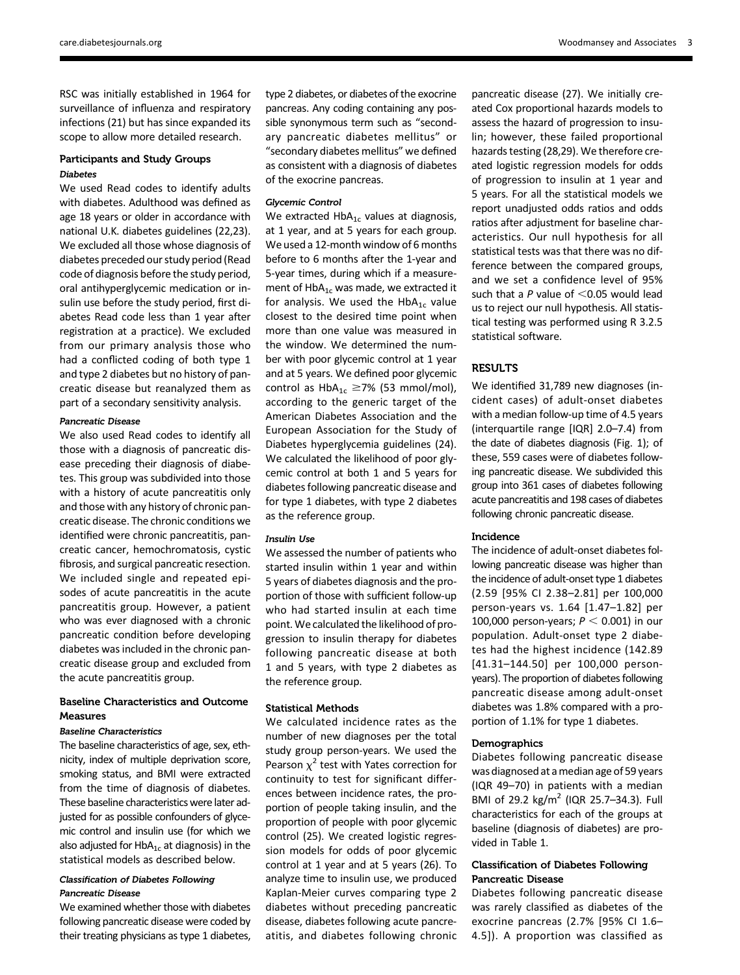RSC was initially established in 1964 for surveillance of influenza and respiratory infections (21) but has since expanded its scope to allow more detailed research.

# Participants and Study Groups

We used Read codes to identify adults with diabetes. Adulthood was defined as age 18 years or older in accordance with national U.K. diabetes guidelines (22,23). We excluded all those whose diagnosis of diabetes preceded our study period (Read code of diagnosis before the study period, oral antihyperglycemic medication or insulin use before the study period, first diabetes Read code less than 1 year after registration at a practice). We excluded from our primary analysis those who had a conflicted coding of both type 1 and type 2 diabetes but no history of pancreatic disease but reanalyzed them as part of a secondary sensitivity analysis.

Pancreatic Disease We also used Read codes to identify all those with a diagnosis of pancreatic disease preceding their diagnosis of diabetes. This group was subdivided into those with a history of acute pancreatitis only and those with any history of chronic pancreatic disease. The chronic conditions we identified were chronic pancreatitis, pancreatic cancer, hemochromatosis, cystic fibrosis, and surgical pancreatic resection. We included single and repeated episodes of acute pancreatitis in the acute pancreatitis group. However, a patient who was ever diagnosed with a chronic pancreatic condition before developing diabetes was included in the chronic pancreatic disease group and excluded from the acute pancreatitis group.

## Baseline Characteristics and Outcome Measures

The baseline characteristics of age, sex, ethnicity, index of multiple deprivation score, smoking status, and BMI were extracted from the time of diagnosis of diabetes. These baseline characteristics were later adjusted for as possible confounders of glycemic control and insulin use (for which we also adjusted for  $HbA_{1c}$  at diagnosis) in the statistical models as described below.

# Classification of Diabetes Following

Pancreatic Disease We examined whether those with diabetes following pancreatic disease were coded by their treating physicians as type 1 diabetes,

type 2 diabetes, or diabetes of the exocrine pancreas. Any coding containing any possible synonymous term such as "secondary pancreatic diabetes mellitus" or "secondary diabetes mellitus" we defined as consistent with a diagnosis of diabetes of the exocrine pancreas.

 $\overline{\mathsf{w}}$  control Control HbA<sub>1c</sub> values at diagnosis, at 1 year, and at 5 years for each group. We used a 12-month window of 6 months before to 6 months after the 1-year and 5-year times, during which if a measurement of  $HbA_{1c}$  was made, we extracted it for analysis. We used the  $HbA_{1c}$  value closest to the desired time point when more than one value was measured in the window. We determined the number with poor glycemic control at 1 year and at 5 years. We defined poor glycemic control as  $HbA_{1c} \ge 7\%$  (53 mmol/mol), according to the generic target of the American Diabetes Association and the European Association for the Study of Diabetes hyperglycemia guidelines (24). We calculated the likelihood of poor glycemic control at both 1 and 5 years for diabetes following pancreatic disease and for type 1 diabetes, with type 2 diabetes as the reference group.

We assessed the number of patients who started insulin within 1 year and within 5 years of diabetes diagnosis and the proportion of those with sufficient follow-up who had started insulin at each time point. We calculated the likelihood of progression to insulin therapy for diabetes following pancreatic disease at both 1 and 5 years, with type 2 diabetes as the reference group.

### Statistical Methods

We calculated incidence rates as the number of new diagnoses per the total study group person-years. We used the Pearson  $\chi^2$  test with Yates correction for continuity to test for significant differences between incidence rates, the proportion of people taking insulin, and the proportion of people with poor glycemic control (25). We created logistic regression models for odds of poor glycemic control at 1 year and at 5 years (26). To analyze time to insulin use, we produced Kaplan-Meier curves comparing type 2 diabetes without preceding pancreatic disease, diabetes following acute pancreatitis, and diabetes following chronic pancreatic disease (27). We initially created Cox proportional hazards models to assess the hazard of progression to insulin; however, these failed proportional hazards testing (28,29). We therefore created logistic regression models for odds of progression to insulin at 1 year and 5 years. For all the statistical models we report unadjusted odds ratios and odds ratios after adjustment for baseline characteristics. Our null hypothesis for all statistical tests was that there was no difference between the compared groups, and we set a confidence level of 95% such that a  $P$  value of  $<$ 0.05 would lead us to reject our null hypothesis. All statistical testing was performed using R 3.2.5 statistical software.

## RESULTS

We identified 31,789 new diagnoses (incident cases) of adult-onset diabetes with a median follow-up time of 4.5 years (interquartile range [IQR] 2.0–7.4) from the date of diabetes diagnosis (Fig. 1); of these, 559 cases were of diabetes following pancreatic disease. We subdivided this group into 361 cases of diabetes following acute pancreatitis and 198 cases of diabetes following chronic pancreatic disease.

### Incidence

The incidence of adult-onset diabetes following pancreatic disease was higher than the incidence of adult-onset type 1 diabetes (2.59 [95% CI 2.38–2.81] per 100,000 person-years vs. 1.64 [1.47–1.82] per 100,000 person-years;  $P < 0.001$ ) in our population. Adult-onset type 2 diabetes had the highest incidence (142.89 [41.31–144.50] per 100,000 personyears). The proportion of diabetes following pancreatic disease among adult-onset diabetes was 1.8% compared with a proportion of 1.1% for type 1 diabetes.

### **Demographics**

Diabetes following pancreatic disease was diagnosed at a median age of 59 years (IQR 49–70) in patients with a median BMI of 29.2 kg/m<sup>2</sup> (IQR 25.7-34.3). Full characteristics for each of the groups at baseline (diagnosis of diabetes) are provided in Table 1.

### Classification of Diabetes Following Pancreatic Disease

Diabetes following pancreatic disease was rarely classified as diabetes of the exocrine pancreas (2.7% [95% CI 1.6– 4.5]). A proportion was classified as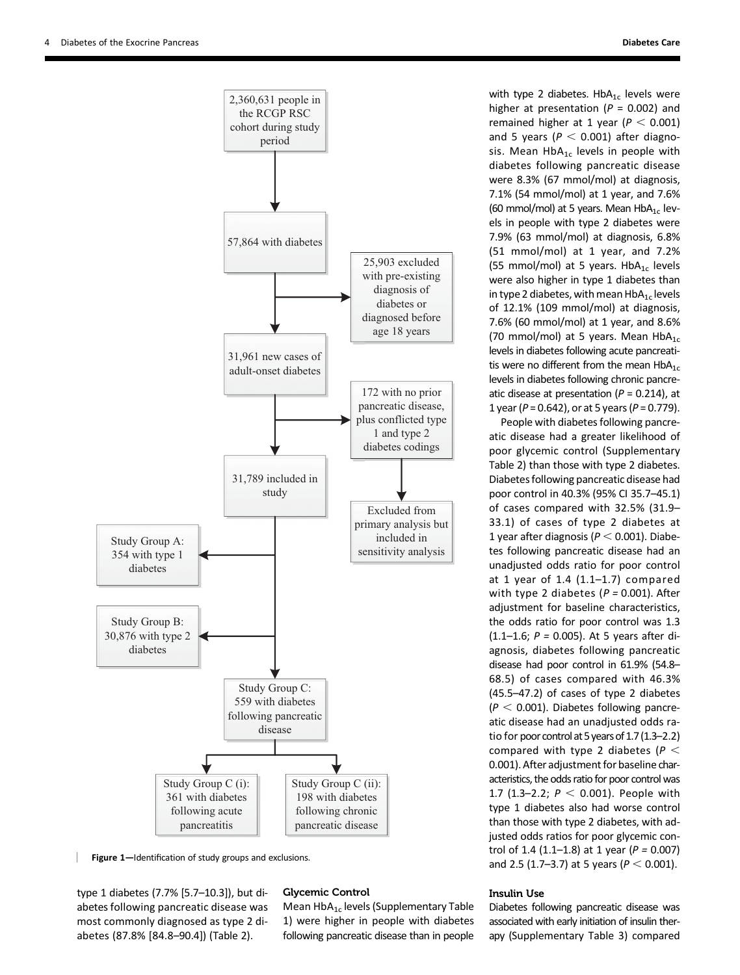

Figure 1-Identification of study groups and exclusions.

type 1 diabetes (7.7% [5.7–10.3]), but diabetes following pancreatic disease was most commonly diagnosed as type 2 diabetes (87.8% [84.8–90.4]) (Table 2).

### Glycemic Control

Mean  $HbA_{1c}$  levels ([Supplementary Table](http://care.diabetesjournals.org/lookup/suppl/doi:10.2337/dc17-0542/-/DC1) [1\)](http://care.diabetesjournals.org/lookup/suppl/doi:10.2337/dc17-0542/-/DC1) were higher in people with diabetes following pancreatic disease than in people with type 2 diabetes.  $HbA_{1c}$  levels were higher at presentation ( $P = 0.002$ ) and remained higher at 1 year ( $P < 0.001$ ) and 5 years ( $P < 0.001$ ) after diagnosis. Mean  $HbA_{1c}$  levels in people with diabetes following pancreatic disease were 8.3% (67 mmol/mol) at diagnosis, 7.1% (54 mmol/mol) at 1 year, and 7.6% (60 mmol/mol) at 5 years. Mean  $HbA_{1c}$  levels in people with type 2 diabetes were 7.9% (63 mmol/mol) at diagnosis, 6.8% (51 mmol/mol) at 1 year, and 7.2% (55 mmol/mol) at 5 years.  $HbA_{1c}$  levels were also higher in type 1 diabetes than in type 2 diabetes, with mean  $HbA_{1c}$  levels of 12.1% (109 mmol/mol) at diagnosis, 7.6% (60 mmol/mol) at 1 year, and 8.6% (70 mmol/mol) at 5 years. Mean  $HbA_{1c}$ levels in diabetes following acute pancreatitis were no different from the mean  $HbA_{1c}$ levels in diabetes following chronic pancreatic disease at presentation ( $P = 0.214$ ), at 1 year ( $P = 0.642$ ), or at 5 years ( $P = 0.779$ ).

People with diabetes following pancreatic disease had a greater likelihood of poor glycemic control ([Supplementary](http://care.diabetesjournals.org/lookup/suppl/doi:10.2337/dc17-0542/-/DC1) [Table 2\)](http://care.diabetesjournals.org/lookup/suppl/doi:10.2337/dc17-0542/-/DC1) than those with type 2 diabetes. Diabetes following pancreatic disease had poor control in 40.3% (95% CI 35.7–45.1) of cases compared with 32.5% (31.9– 33.1) of cases of type 2 diabetes at 1 year after diagnosis ( $P < 0.001$ ). Diabetes following pancreatic disease had an unadjusted odds ratio for poor control at 1 year of 1.4 (1.1–1.7) compared with type 2 diabetes ( $P = 0.001$ ). After adjustment for baseline characteristics. the odds ratio for poor control was 1.3  $(1.1-1.6; P = 0.005)$ . At 5 years after diagnosis, diabetes following pancreatic disease had poor control in 61.9% (54.8– 68.5) of cases compared with 46.3% (45.5–47.2) of cases of type 2 diabetes  $(P < 0.001)$ . Diabetes following pancreatic disease had an unadjusted odds ratio for poor control at 5 years of 1.7 (1.3-2.2) compared with type 2 diabetes ( $P <$ 0.001). After adjustment for baseline characteristics, the odds ratio for poor control was 1.7 (1.3-2.2;  $P < 0.001$ ). People with type 1 diabetes also had worse control than those with type 2 diabetes, with adjusted odds ratios for poor glycemic control of 1.4  $(1.1-1.8)$  at 1 year  $(P = 0.007)$ and 2.5 (1.7–3.7) at 5 years ( $P < 0.001$ ).

# Insulin Use

Diabetes following pancreatic disease was associated with early initiation of insulin therapy [\(Supplementary Table 3](http://care.diabetesjournals.org/lookup/suppl/doi:10.2337/dc17-0542/-/DC1)) compared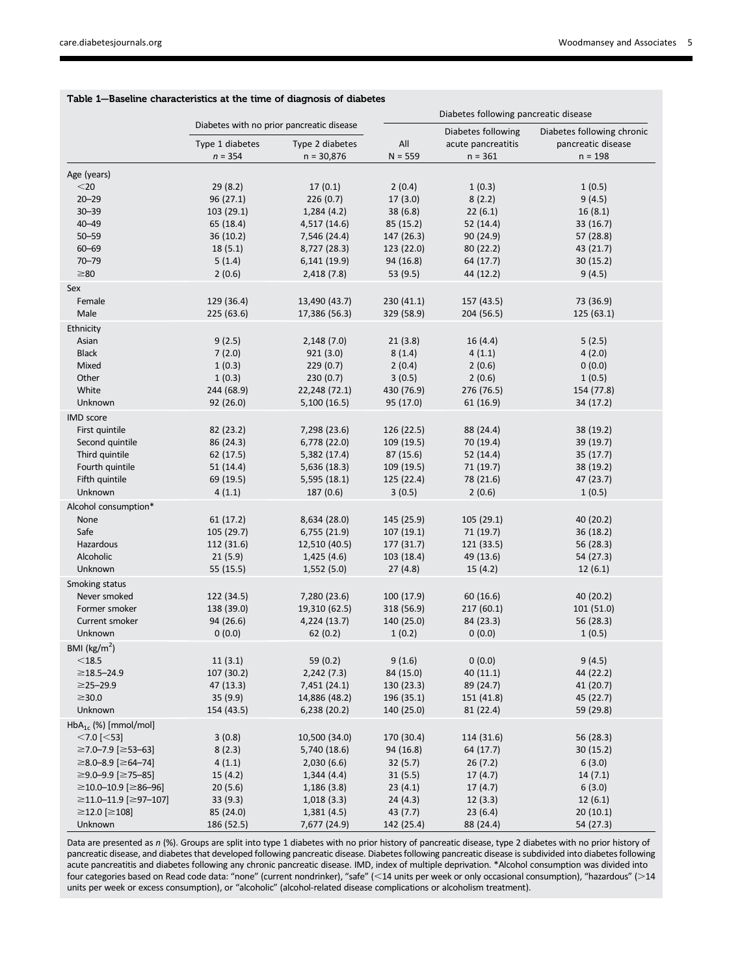|                                |                 |                                           | Diabetes following pancreatic disease |                    |                            |
|--------------------------------|-----------------|-------------------------------------------|---------------------------------------|--------------------|----------------------------|
|                                |                 | Diabetes with no prior pancreatic disease |                                       | Diabetes following | Diabetes following chronic |
|                                | Type 1 diabetes | Type 2 diabetes                           | $\mathsf{All}$                        | acute pancreatitis | pancreatic disease         |
|                                | $n = 354$       | $n = 30,876$                              | $N = 559$                             | $n = 361$          | $n = 198$                  |
| Age (years)                    |                 |                                           |                                       |                    |                            |
| $<$ 20                         | 29(8.2)         | 17(0.1)                                   | 2(0.4)                                | 1(0.3)             | 1(0.5)                     |
| $20 - 29$                      | 96 (27.1)       | 226(0.7)                                  | 17(3.0)                               | 8(2.2)             | 9(4.5)                     |
| $30 - 39$                      | 103 (29.1)      | 1,284(4.2)                                | 38(6.8)                               | 22(6.1)            | 16(8.1)                    |
| $40 - 49$                      | 65 (18.4)       | 4,517 (14.6)                              | 85 (15.2)                             | 52 (14.4)          | 33 (16.7)                  |
| $50 - 59$                      | 36 (10.2)       | 7,546 (24.4)                              | 147 (26.3)                            | 90 (24.9)          | 57 (28.8)                  |
| $60 - 69$                      | 18(5.1)         | 8,727 (28.3)                              | 123 (22.0)                            | 80 (22.2)          | 43 (21.7)                  |
| $70 - 79$                      | 5(1.4)          | 6,141 (19.9)                              | 94 (16.8)                             | 64 (17.7)          | 30(15.2)                   |
| $\geq 80$                      | 2(0.6)          | 2,418(7.8)                                | 53 (9.5)                              | 44 (12.2)          | 9(4.5)                     |
| Sex                            |                 |                                           |                                       |                    |                            |
| Female                         | 129 (36.4)      | 13,490 (43.7)                             | 230 (41.1)                            | 157 (43.5)         | 73 (36.9)                  |
| Male                           | 225 (63.6)      | 17,386 (56.3)                             | 329 (58.9)                            | 204 (56.5)         | 125(63.1)                  |
| Ethnicity                      |                 |                                           |                                       |                    |                            |
| Asian                          | 9(2.5)          | 2,148(7.0)                                | 21(3.8)                               | 16(4.4)            | 5(2.5)                     |
| <b>Black</b>                   | 7(2.0)          | 921(3.0)                                  | 8(1.4)                                | 4(1.1)             | 4(2.0)                     |
| Mixed                          | 1(0.3)          | 229(0.7)                                  | 2(0.4)                                | 2(0.6)             | 0(0.0)                     |
| Other                          | 1(0.3)          | 230(0.7)                                  | 3(0.5)                                | 2(0.6)             | 1(0.5)                     |
| White                          | 244 (68.9)      | 22,248 (72.1)                             | 430 (76.9)                            | 276 (76.5)         | 154 (77.8)                 |
| Unknown                        | 92(26.0)        | 5,100(16.5)                               | 95 (17.0)                             | 61 (16.9)          | 34 (17.2)                  |
| IMD score                      |                 |                                           |                                       |                    |                            |
| First quintile                 | 82 (23.2)       | 7,298 (23.6)                              | 126 (22.5)                            | 88 (24.4)          | 38 (19.2)                  |
| Second quintile                | 86 (24.3)       | 6,778 (22.0)                              | 109 (19.5)                            | 70 (19.4)          | 39 (19.7)                  |
| Third quintile                 | 62 (17.5)       | 5,382 (17.4)                              | 87 (15.6)                             | 52 (14.4)          | 35 (17.7)                  |
| Fourth quintile                | 51 (14.4)       | 5,636 (18.3)                              | 109 (19.5)                            | 71 (19.7)          | 38 (19.2)                  |
| Fifth quintile                 | 69 (19.5)       | 5,595(18.1)                               | 125 (22.4)                            | 78 (21.6)          | 47 (23.7)                  |
| Unknown                        | 4(1.1)          | 187(0.6)                                  | 3(0.5)                                | 2(0.6)             | 1(0.5)                     |
| Alcohol consumption*           |                 |                                           |                                       |                    |                            |
| None                           | 61 (17.2)       | 8,634 (28.0)                              | 145 (25.9)                            | 105 (29.1)         | 40 (20.2)                  |
| Safe                           | 105 (29.7)      | 6,755(21.9)                               | 107(19.1)                             | 71 (19.7)          | 36 (18.2)                  |
| Hazardous                      | 112 (31.6)      | 12,510 (40.5)                             | 177 (31.7)                            | 121 (33.5)         | 56 (28.3)                  |
| Alcoholic                      | 21(5.9)         | 1,425(4.6)                                | 103 (18.4)                            | 49 (13.6)          | 54 (27.3)                  |
| Unknown                        | 55 (15.5)       | 1,552(5.0)                                | 27(4.8)                               | 15(4.2)            | 12(6.1)                    |
| Smoking status                 |                 |                                           |                                       |                    |                            |
| Never smoked                   | 122 (34.5)      | 7,280 (23.6)                              | 100 (17.9)                            | 60 (16.6)          | 40 (20.2)                  |
| Former smoker                  | 138 (39.0)      | 19,310 (62.5)                             | 318 (56.9)                            | 217 (60.1)         | 101 (51.0)                 |
| Current smoker                 | 94 (26.6)       | 4,224 (13.7)                              | 140 (25.0)                            | 84 (23.3)          | 56 (28.3)                  |
| Unknown                        | 0(0.0)          | 62(0.2)                                   | 1(0.2)                                | 0(0.0)             | 1(0.5)                     |
| BMI ( $\text{kg/m}^2$ )        |                 |                                           |                                       |                    |                            |
| $<$ 18.5                       | 11(3.1)         | 59 (0.2)                                  | 9(1.6)                                | 0(0.0)             | 9(4.5)                     |
| $\geq$ 18.5–24.9               | 107 (30.2)      | 2,242(7.3)                                | 84 (15.0)                             | 40 (11.1)          | 44 (22.2)                  |
| $\geq$ 25-29.9                 | 47 (13.3)       | 7,451 (24.1)                              | 130 (23.3)                            | 89 (24.7)          | 41 (20.7)                  |
| $\geq$ 30.0                    | 35(9.9)         | 14,886 (48.2)                             | 196 (35.1)                            | 151 (41.8)         | 45 (22.7)                  |
| Unknown                        | 154 (43.5)      | 6,238 (20.2)                              | 140 (25.0)                            | 81 (22.4)          | 59 (29.8)                  |
| $HbA_{1c}$ (%) [mmol/mol]      |                 |                                           |                                       |                    |                            |
| $<$ 7.0 [ $<$ 53]              | 3(0.8)          | 10,500 (34.0)                             | 170 (30.4)                            | 114 (31.6)         | 56 (28.3)                  |
| ≥7.0–7.9 [≥53–63]              | 8(2.3)          | 5,740 (18.6)                              | 94 (16.8)                             | 64 (17.7)          | 30 (15.2)                  |
| $\geq$ 8.0-8.9 [ $\geq$ 64-74] | 4(1.1)          | 2,030(6.6)                                | 32(5.7)                               | 26(7.2)            | 6(3.0)                     |
| ≥9.0–9.9 [≥75–85]              | 15(4.2)         | 1,344(4.4)                                | 31(5.5)                               | 17(4.7)            | 14(7.1)                    |
| ≥10.0–10.9 [≥86–96]            | 20(5.6)         | 1,186(3.8)                                | 23(4.1)                               | 17(4.7)            | 6(3.0)                     |
| ≥11.0-11.9 [≥97-107]           | 33(9.3)         | 1,018(3.3)                                | 24(4.3)                               | 12(3.3)            | 12(6.1)                    |
| $≥12.0$ [≥108]                 | 85 (24.0)       | 1,381(4.5)                                | 43 (7.7)                              | 23(6.4)            | 20 (10.1)                  |
| Unknown                        | 186 (52.5)      | 7,677 (24.9)                              | 142 (25.4)                            | 88 (24.4)          | 54 (27.3)                  |

## Table 1—Baseline characteristics at the time of diagnosis of diabetes

Data are presented as  $n$  (%). Groups are split into type 1 diabetes with no prior history of pancreatic disease, type 2 diabetes with no prior history of pancreatic disease, and diabetes that developed following pancreatic disease. Diabetes following pancreatic disease is subdivided into diabetes following acute pancreatitis and diabetes following any chronic pancreatic disease. IMD, index of multiple deprivation. \*Alcohol consumption was divided into four categories based on Read code data: "none" (current nondrinker), "safe" (<14 units per week or only occasional consumption), "hazardous" (>14 units per week or excess consumption), or "alcoholic" (alcohol-related disease complications or alcoholism treatment).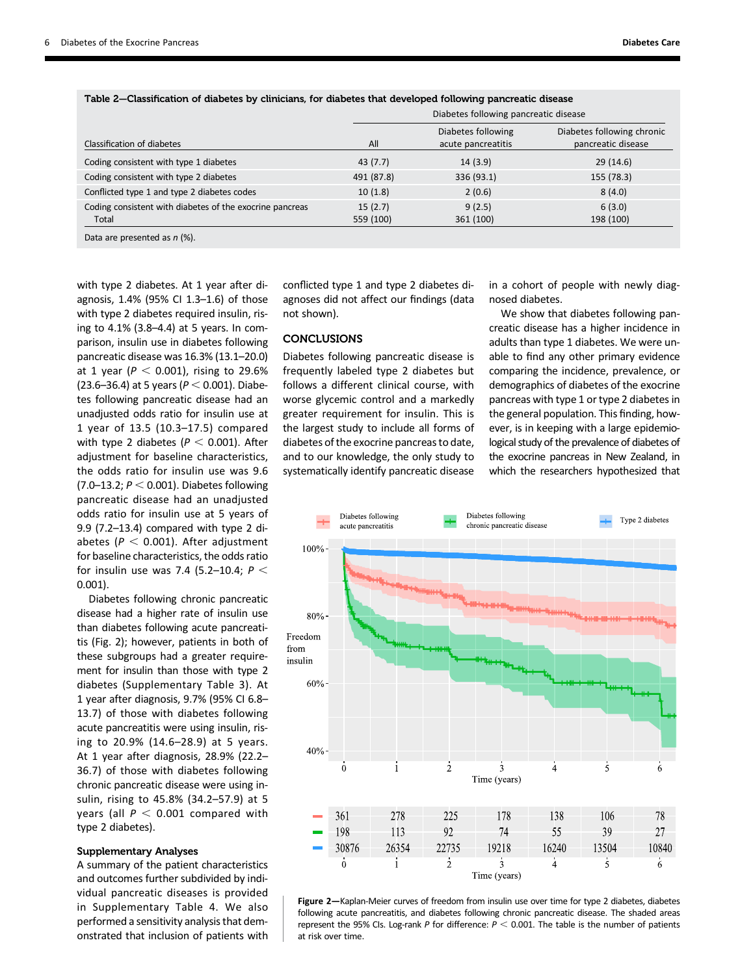|                                                                   |                      | Diabetes following pancreatic disease    |                                                  |  |
|-------------------------------------------------------------------|----------------------|------------------------------------------|--------------------------------------------------|--|
| Classification of diabetes                                        | All                  | Diabetes following<br>acute pancreatitis | Diabetes following chronic<br>pancreatic disease |  |
| Coding consistent with type 1 diabetes                            | 43(7.7)              | 14(3.9)                                  | 29(14.6)                                         |  |
| Coding consistent with type 2 diabetes                            | 491 (87.8)           | 336 (93.1)                               | 155 (78.3)                                       |  |
| Conflicted type 1 and type 2 diabetes codes                       | 10(1.8)              | 2(0.6)                                   | 8(4.0)                                           |  |
| Coding consistent with diabetes of the exocrine pancreas<br>Total | 15(2.7)<br>559 (100) | 9(2.5)<br>361 (100)                      | 6(3.0)<br>198 (100)                              |  |
| $D - L = -12$ and $L = -12$ and $L = -10/1$                       |                      |                                          |                                                  |  |

Table 2—Classification of diabetes by clinicians, for diabetes that developed following pancreatic disease

Data are presented as  $n$  (%).

with type 2 diabetes. At 1 year after diagnosis, 1.4% (95% CI 1.3–1.6) of those with type 2 diabetes required insulin, rising to 4.1% (3.8–4.4) at 5 years. In comparison, insulin use in diabetes following pancreatic disease was 16.3% (13.1–20.0) at 1 year ( $P < 0.001$ ), rising to 29.6% (23.6–36.4) at 5 years ( $P < 0.001$ ). Diabetes following pancreatic disease had an unadjusted odds ratio for insulin use at 1 year of 13.5 (10.3–17.5) compared with type 2 diabetes ( $P < 0.001$ ). After adjustment for baseline characteristics, the odds ratio for insulin use was 9.6  $(7.0-13.2; P < 0.001)$ . Diabetes following pancreatic disease had an unadjusted odds ratio for insulin use at 5 years of 9.9 (7.2–13.4) compared with type 2 diabetes ( $P < 0.001$ ). After adjustment for baseline characteristics, the odds ratio for insulin use was 7.4 (5.2-10.4;  $P <$ 0.001).

Diabetes following chronic pancreatic disease had a higher rate of insulin use than diabetes following acute pancreatitis (Fig. 2); however, patients in both of these subgroups had a greater requirement for insulin than those with type 2 diabetes [\(Supplementary Table 3\)](http://care.diabetesjournals.org/lookup/suppl/doi:10.2337/dc17-0542/-/DC1). At 1 year after diagnosis, 9.7% (95% CI 6.8– 13.7) of those with diabetes following acute pancreatitis were using insulin, rising to 20.9% (14.6–28.9) at 5 years. At 1 year after diagnosis, 28.9% (22.2– 36.7) of those with diabetes following chronic pancreatic disease were using insulin, rising to 45.8% (34.2–57.9) at 5 years (all  $P < 0.001$  compared with type 2 diabetes).

### Supplementary Analyses

A summary of the patient characteristics and outcomes further subdivided by individual pancreatic diseases is provided in [Supplementary Table 4](http://care.diabetesjournals.org/lookup/suppl/doi:10.2337/dc17-0542/-/DC1). We also performed a sensitivity analysis that demonstrated that inclusion of patients with

conflicted type 1 and type 2 diabetes diagnoses did not affect our findings (data not shown).

### **CONCLUSIONS**

Diabetes following pancreatic disease is frequently labeled type 2 diabetes but follows a different clinical course, with worse glycemic control and a markedly greater requirement for insulin. This is the largest study to include all forms of diabetes of the exocrine pancreas to date, and to our knowledge, the only study to systematically identify pancreatic disease in a cohort of people with newly diagnosed diabetes.

We show that diabetes following pancreatic disease has a higher incidence in adults than type 1 diabetes. We were unable to find any other primary evidence comparing the incidence, prevalence, or demographics of diabetes of the exocrine pancreas with type 1 or type 2 diabetes in the general population. This finding, however, is in keeping with a large epidemiological study of the prevalence of diabetes of the exocrine pancreas in New Zealand, in which the researchers hypothesized that



Figure 2—Kaplan-Meier curves of freedom from insulin use over time for type 2 diabetes, diabetes following acute pancreatitis, and diabetes following chronic pancreatic disease. The shaded areas represent the 95% CIs. Log-rank P for difference:  $P < 0.001$ . The table is the number of patients at risk over time.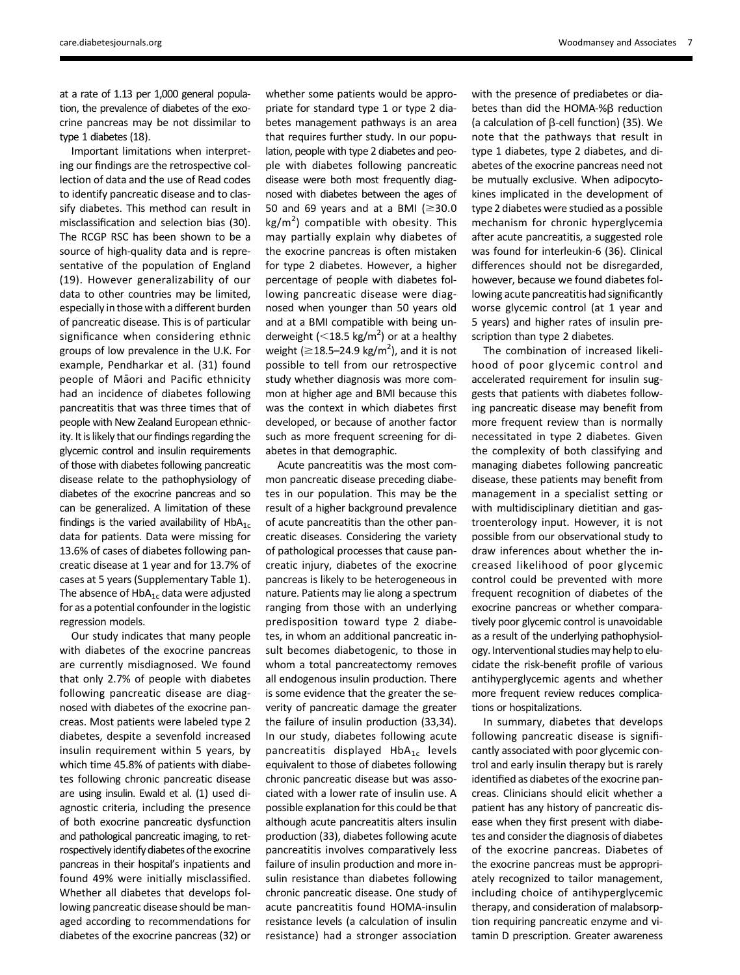at a rate of 1.13 per 1,000 general population, the prevalence of diabetes of the exocrine pancreas may be not dissimilar to type 1 diabetes (18).

Important limitations when interpreting our findings are the retrospective collection of data and the use of Read codes to identify pancreatic disease and to classify diabetes. This method can result in misclassification and selection bias (30). The RCGP RSC has been shown to be a source of high-quality data and is representative of the population of England (19). However generalizability of our data to other countries may be limited, especially in those with a different burden of pancreatic disease. This is of particular significance when considering ethnic groups of low prevalence in the U.K. For example, Pendharkar et al. (31) found people of Maori and Pacific ethnicity had an incidence of diabetes following pancreatitis that was three times that of people with New Zealand European ethnicity. It is likely that our findings regarding the glycemic control and insulin requirements of those with diabetes following pancreatic disease relate to the pathophysiology of diabetes of the exocrine pancreas and so can be generalized. A limitation of these findings is the varied availability of  $HbA_{1c}$ data for patients. Data were missing for 13.6% of cases of diabetes following pancreatic disease at 1 year and for 13.7% of cases at 5 years [\(Supplementary Table 1](http://care.diabetesjournals.org/lookup/suppl/doi:10.2337/dc17-0542/-/DC1)). The absence of  $HbA_{1c}$  data were adjusted for as a potential confounder in the logistic regression models.

Our study indicates that many people with diabetes of the exocrine pancreas are currently misdiagnosed. We found that only 2.7% of people with diabetes following pancreatic disease are diagnosed with diabetes of the exocrine pancreas. Most patients were labeled type 2 diabetes, despite a sevenfold increased insulin requirement within 5 years, by which time 45.8% of patients with diabetes following chronic pancreatic disease are using insulin. Ewald et al. (1) used diagnostic criteria, including the presence of both exocrine pancreatic dysfunction and pathological pancreatic imaging, to retrospectively identify diabetes of the exocrine pancreas in their hospital's inpatients and found 49% were initially misclassified. Whether all diabetes that develops following pancreatic disease should be managed according to recommendations for diabetes of the exocrine pancreas (32) or

whether some patients would be appropriate for standard type 1 or type 2 diabetes management pathways is an area that requires further study. In our population, people with type 2 diabetes and people with diabetes following pancreatic disease were both most frequently diagnosed with diabetes between the ages of 50 and 69 years and at a BMI ( $\geq$ 30.0  $\text{kg/m}^2$ ) compatible with obesity. This may partially explain why diabetes of the exocrine pancreas is often mistaken for type 2 diabetes. However, a higher percentage of people with diabetes following pancreatic disease were diagnosed when younger than 50 years old and at a BMI compatible with being underweight ( $\leq$ 18.5 kg/m<sup>2</sup>) or at a healthy weight  $(\geq 18.5-24.9 \text{ kg/m}^2)$ , and it is not possible to tell from our retrospective study whether diagnosis was more common at higher age and BMI because this was the context in which diabetes first developed, or because of another factor such as more frequent screening for diabetes in that demographic.

Acute pancreatitis was the most common pancreatic disease preceding diabetes in our population. This may be the result of a higher background prevalence of acute pancreatitis than the other pancreatic diseases. Considering the variety of pathological processes that cause pancreatic injury, diabetes of the exocrine pancreas is likely to be heterogeneous in nature. Patients may lie along a spectrum ranging from those with an underlying predisposition toward type 2 diabetes, in whom an additional pancreatic insult becomes diabetogenic, to those in whom a total pancreatectomy removes all endogenous insulin production. There is some evidence that the greater the severity of pancreatic damage the greater the failure of insulin production (33,34). In our study, diabetes following acute pancreatitis displayed  $HbA_{1c}$  levels equivalent to those of diabetes following chronic pancreatic disease but was associated with a lower rate of insulin use. A possible explanation for this could be that although acute pancreatitis alters insulin production (33), diabetes following acute pancreatitis involves comparatively less failure of insulin production and more insulin resistance than diabetes following chronic pancreatic disease. One study of acute pancreatitis found HOMA-insulin resistance levels (a calculation of insulin resistance) had a stronger association

with the presence of prediabetes or diabetes than did the HOMA-% $\beta$  reduction (a calculation of  $\beta$ -cell function) (35). We note that the pathways that result in type 1 diabetes, type 2 diabetes, and diabetes of the exocrine pancreas need not be mutually exclusive. When adipocytokines implicated in the development of type 2 diabetes were studied as a possible mechanism for chronic hyperglycemia after acute pancreatitis, a suggested role was found for interleukin-6 (36). Clinical differences should not be disregarded, however, because we found diabetes following acute pancreatitis had significantly worse glycemic control (at 1 year and 5 years) and higher rates of insulin prescription than type 2 diabetes.

The combination of increased likelihood of poor glycemic control and accelerated requirement for insulin suggests that patients with diabetes following pancreatic disease may benefit from more frequent review than is normally necessitated in type 2 diabetes. Given the complexity of both classifying and managing diabetes following pancreatic disease, these patients may benefit from management in a specialist setting or with multidisciplinary dietitian and gastroenterology input. However, it is not possible from our observational study to draw inferences about whether the increased likelihood of poor glycemic control could be prevented with more frequent recognition of diabetes of the exocrine pancreas or whether comparatively poor glycemic control is unavoidable as a result of the underlying pathophysiology. Interventional studies may help to elucidate the risk-benefit profile of various antihyperglycemic agents and whether more frequent review reduces complications or hospitalizations.

In summary, diabetes that develops following pancreatic disease is significantly associated with poor glycemic control and early insulin therapy but is rarely identified as diabetes of the exocrine pancreas. Clinicians should elicit whether a patient has any history of pancreatic disease when they first present with diabetes and consider the diagnosis of diabetes of the exocrine pancreas. Diabetes of the exocrine pancreas must be appropriately recognized to tailor management, including choice of antihyperglycemic therapy, and consideration of malabsorption requiring pancreatic enzyme and vitamin D prescription. Greater awareness